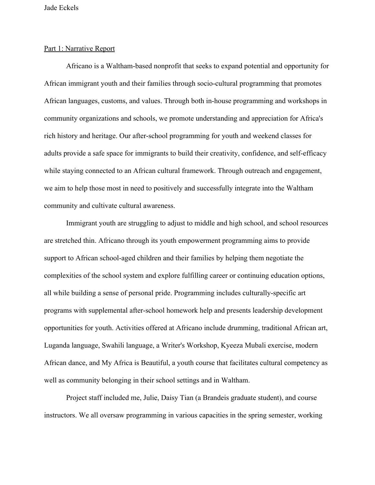#### Part 1: Narrative Report

 Africano is a Waltham-based nonprofit that seeks to expand potential and opportunity for African immigrant youth and their families through socio-cultural programming that promotes African languages, customs, and values. Through both in-house programming and workshops in community organizations and schools, we promote understanding and appreciation for Africa's rich history and heritage. Our after-school programming for youth and weekend classes for adults provide a safe space for immigrants to build their creativity, confidence, and self-efficacy while staying connected to an African cultural framework. Through outreach and engagement, we aim to help those most in need to positively and successfully integrate into the Waltham community and cultivate cultural awareness.

 well as community belonging in their school settings and in Waltham. Immigrant youth are struggling to adjust to middle and high school, and school resources are stretched thin. Africano through its youth empowerment programming aims to provide support to African school-aged children and their families by helping them negotiate the complexities of the school system and explore fulfilling career or continuing education options, all while building a sense of personal pride. Programming includes culturally-specific art programs with supplemental after-school homework help and presents leadership development opportunities for youth. Activities offered at Africano include drumming, traditional African art, Luganda language, Swahili language, a Writer's Workshop, Kyeeza Mubali exercise, modern African dance, and My Africa is Beautiful, a youth course that facilitates cultural competency as

Project staff included me, Julie, Daisy Tian (a Brandeis graduate student), and course instructors. We all oversaw programming in various capacities in the spring semester, working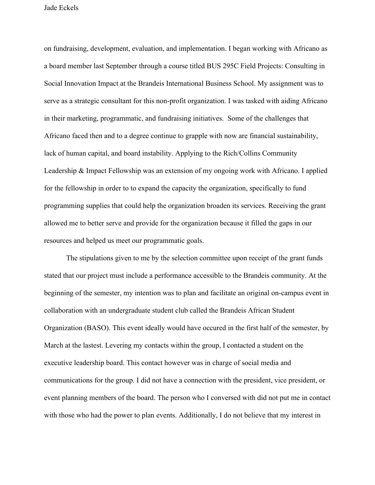on fundraising, development, evaluation, and implementation. I began working with Africano as a board member last September through a course titled BUS 295C Field Projects: Consulting in Social Innovation Impact at the Brandeis International Business School. My assignment was to serve as a strategic consultant for this non-profit organization. I was tasked with aiding Africano in their marketing, programmatic, and fundraising initiatives. Some of the challenges that Africano faced then and to a degree continue to grapple with now are financial sustainability, lack of human capital, and board instability. Applying to the Rich/Collins Community Leadership & Impact Fellowship was an extension of my ongoing work with Africano. I applied for the fellowship in order to to expand the capacity the organization, specifically to fund programming supplies that could help the organization broaden its services. Receiving the grant allowed me to better serve and provide for the organization because it filled the gaps in our resources and helped us meet our programmatic goals.

The stipulations given to me by the selection committee upon receipt of the grant funds stated that our project must include a performance accessible to the Brandeis community. At the beginning of the semester, my intention was to plan and facilitate an original on-campus event in collaboration with an undergraduate student club called the Brandeis African Student Organization (BASO). This event ideally would have occured in the first half of the semester, by March at the lastest. Levering my contacts within the group, I contacted a student on the executive leadership board. This contact however was in charge of social media and communications for the group. I did not have a connection with the president, vice president, or event planning members of the board. The person who I conversed with did not put me in contact with those who had the power to plan events. Additionally, I do not believe that my interest in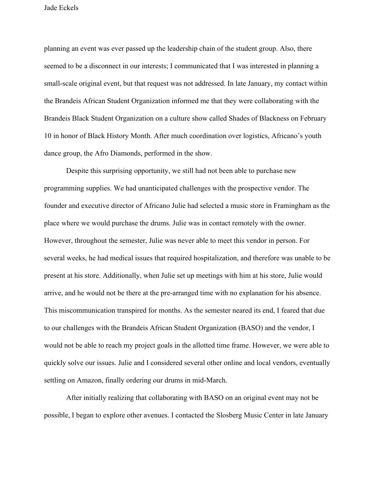planning an event was ever passed up the leadership chain of the student group. Also, there seemed to be a disconnect in our interests; I communicated that I was interested in planning a small-scale original event, but that request was not addressed. In late January, my contact within the Brandeis African Student Organization informed me that they were collaborating with the Brandeis Black Student Organization on a culture show called Shades of Blackness on February 10 in honor of Black History Month. After much coordination over logistics, Africano's youth dance group, the Afro Diamonds, performed in the show.

 settling on Amazon, finally ordering our drums in mid-March. Despite this surprising opportunity, we still had not been able to purchase new programming supplies. We had unanticipated challenges with the prospective vendor. The founder and executive director of Africano Julie had selected a music store in Framingham as the place where we would purchase the drums. Julie was in contact remotely with the owner. However, throughout the semester, Julie was never able to meet this vendor in person. For several weeks, he had medical issues that required hospitalization, and therefore was unable to be present at his store. Additionally, when Julie set up meetings with him at his store, Julie would arrive, and he would not be there at the pre-arranged time with no explanation for his absence. This miscommunication transpired for months. As the semester neared its end, I feared that due to our challenges with the Brandeis African Student Organization (BASO) and the vendor, I would not be able to reach my project goals in the allotted time frame. However, we were able to quickly solve our issues. Julie and I considered several other online and local vendors, eventually

After initially realizing that collaborating with BASO on an original event may not be possible, I began to explore other avenues. I contacted the Slosberg Music Center in late January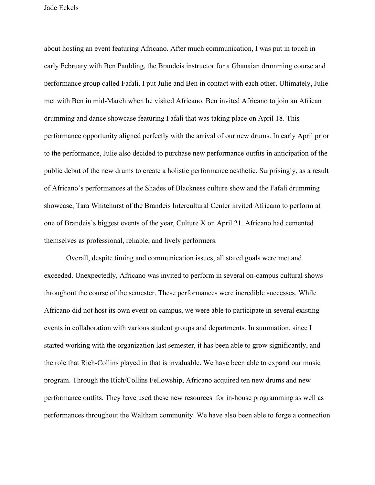themselves as professional, reliable, and lively performers. about hosting an event featuring Africano. After much communication, I was put in touch in early February with Ben Paulding, the Brandeis instructor for a Ghanaian drumming course and performance group called Fafali. I put Julie and Ben in contact with each other. Ultimately, Julie met with Ben in mid-March when he visited Africano. Ben invited Africano to join an African drumming and dance showcase featuring Fafali that was taking place on April 18. This performance opportunity aligned perfectly with the arrival of our new drums. In early April prior to the performance, Julie also decided to purchase new performance outfits in anticipation of the public debut of the new drums to create a holistic performance aesthetic. Surprisingly, as a result of Africano's performances at the Shades of Blackness culture show and the Fafali drumming showcase, Tara Whitehurst of the Brandeis Intercultural Center invited Africano to perform at one of Brandeis's biggest events of the year, Culture X on April 21. Africano had cemented

Overall, despite timing and communication issues, all stated goals were met and exceeded. Unexpectedly, Africano was invited to perform in several on-campus cultural shows throughout the course of the semester. These performances were incredible successes. While Africano did not host its own event on campus, we were able to participate in several existing events in collaboration with various student groups and departments. In summation, since I started working with the organization last semester, it has been able to grow significantly, and the role that Rich-Collins played in that is invaluable. We have been able to expand our music program. Through the Rich/Collins Fellowship, Africano acquired ten new drums and new performance outfits. They have used these new resources for in-house programming as well as performances throughout the Waltham community. We have also been able to forge a connection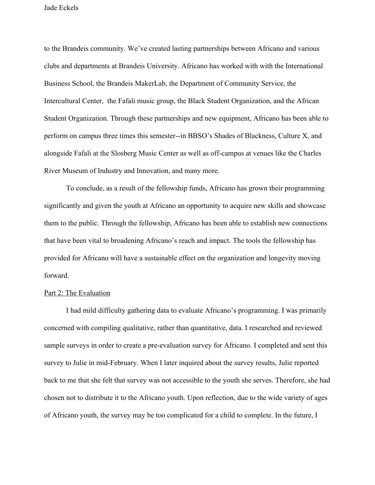to the Brandeis community. We've created lasting partnerships between Africano and various clubs and departments at Brandeis University. Africano has worked with with the International Business School, the Brandeis MakerLab, the Department of Community Service, the Intercultural Center, the Fafali music group, the Black Student Organization, and the African Student Organization. Through these partnerships and new equipment, Africano has been able to perform on campus three times this semester--in BBSO's Shades of Blackness, Culture X, and alongside Fafali at the Slosberg Music Center as well as off-campus at venues like the Charles River Museum of Industry and Innovation, and many more.

To conclude, as a result of the fellowship funds, Africano has grown their programming significantly and given the youth at Africano an opportunity to acquire new skills and showcase them to the public. Through the fellowship, Africano has been able to establish new connections that have been vital to broadening Africano's reach and impact. The tools the fellowship has provided for Africano will have a sustainable effect on the organization and longevity moving forward.

#### Part 2: The Evaluation

I had mild difficulty gathering data to evaluate Africano's programming. I was primarily concerned with compiling qualitative, rather than quantitative, data. I researched and reviewed sample surveys in order to create a pre-evaluation survey for Africano. I completed and sent this survey to Julie in mid-February. When I later inquired about the survey results, Julie reported back to me that she felt that survey was not accessible to the youth she serves. Therefore, she had chosen not to distribute it to the Africano youth. Upon reflection, due to the wide variety of ages of Africano youth, the survey may be too complicated for a child to complete. In the future, I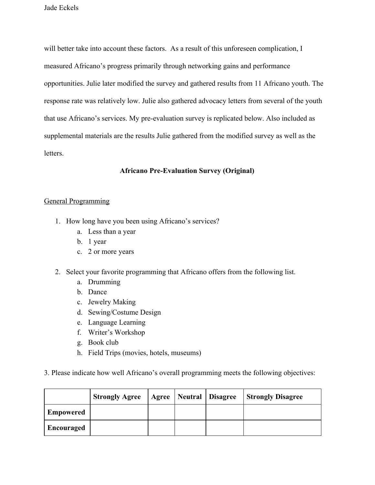will better take into account these factors. As a result of this unforeseen complication, I measured Africano's progress primarily through networking gains and performance opportunities. Julie later modified the survey and gathered results from 11 Africano youth. The response rate was relatively low. Julie also gathered advocacy letters from several of the youth that use Africano's services. My pre-evaluation survey is replicated below. Also included as supplemental materials are the results Julie gathered from the modified survey as well as the letters.

# **Africano Pre-Evaluation Survey (Original)**

## General Programming

- 1. How long have you been using Africano's services?
	- a. Less than a year
	- b. 1 year
	- c. 2 or more years
- 2. Select your favorite programming that Africano offers from the following list.
	- a. Drumming
	- b. Dance
	- c. Jewelry Making
	- d. Sewing/Costume Design
	- e. Language Learning
	- f. Writer's Workshop
	- g. Book club
	- h. Field Trips (movies, hotels, museums)
- 3. Please indicate how well Africano's overall programming meets the following objectives:

|                  | <b>Strongly Agree</b> |  | Agree   Neutral   Disagree | <b>Strongly Disagree</b> |
|------------------|-----------------------|--|----------------------------|--------------------------|
| <b>Empowered</b> |                       |  |                            |                          |
| Encouraged       |                       |  |                            |                          |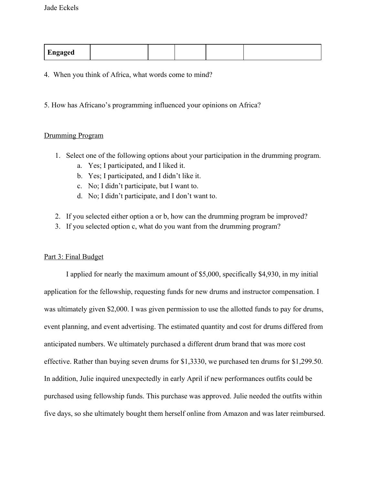| Engaged |  |  |  |
|---------|--|--|--|
|         |  |  |  |
|         |  |  |  |
|         |  |  |  |

4. When you think of Africa, what words come to mind?

5. How has Africano's programming influenced your opinions on Africa?

## Drumming Program

- 1. Select one of the following options about your participation in the drumming program.
	- a. Yes; I participated, and I liked it.
	- b. Yes; I participated, and I didn't like it.
	- c. No; I didn't participate, but I want to.
	- d. No; I didn't participate, and I don't want to.
- 2. If you selected either option a or b, how can the drumming program be improved?
- 3. If you selected option c, what do you want from the drumming program?

## Part 3: Final Budget

I applied for nearly the maximum amount of \$5,000, specifically \$4,930, in my initial application for the fellowship, requesting funds for new drums and instructor compensation. I was ultimately given \$2,000. I was given permission to use the allotted funds to pay for drums, event planning, and event advertising. The estimated quantity and cost for drums differed from anticipated numbers. We ultimately purchased a different drum brand that was more cost effective. Rather than buying seven drums for \$1,3330, we purchased ten drums for [\\$1,299.50](https://1,299.50). In addition, Julie inquired unexpectedly in early April if new performances outfits could be purchased using fellowship funds. This purchase was approved. Julie needed the outfits within five days, so she ultimately bought them herself online from Amazon and was later reimbursed.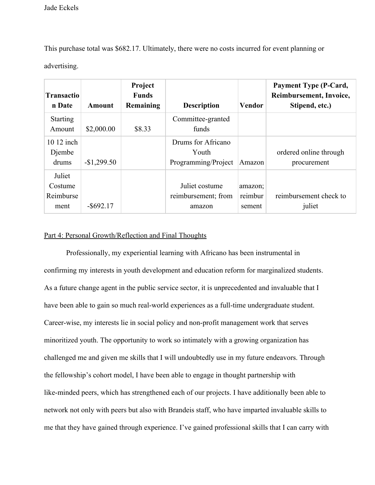advertising. This purchase total was \$682.17. Ultimately, there were no costs incurred for event planning or

| <b>Transactio</b><br>n Date            | Amount       | Project<br><b>Funds</b><br>Remaining | <b>Description</b>                                 | <b>Vendor</b>                | <b>Payment Type (P-Card,</b><br>Reimbursement, Invoice,<br>Stipend, etc.) |
|----------------------------------------|--------------|--------------------------------------|----------------------------------------------------|------------------------------|---------------------------------------------------------------------------|
| <b>Starting</b><br>Amount              | \$2,000.00   | \$8.33                               | Committee-granted<br>funds                         |                              |                                                                           |
| 10 12 inch<br>Djembe<br>drums          | $-$1,299.50$ |                                      | Drums for Africano<br>Youth<br>Programming/Project | Amazon                       | ordered online through<br>procurement                                     |
| Juliet<br>Costume<br>Reimburse<br>ment | $-$ \$692.17 |                                      | Juliet costume<br>reimbursement; from<br>amazon    | amazon;<br>reimbur<br>sement | reimbursement check to<br>juliet                                          |

#### Part 4: Personal Growth/Reflection and Final Thoughts

Professionally, my experiential learning with Africano has been instrumental in confirming my interests in youth development and education reform for marginalized students. As a future change agent in the public service sector, it is unprecedented and invaluable that I have been able to gain so much real-world experiences as a full-time undergraduate student. Career-wise, my interests lie in social policy and non-profit management work that serves minoritized youth. The opportunity to work so intimately with a growing organization has challenged me and given me skills that I will undoubtedly use in my future endeavors. Through the fellowship's cohort model, I have been able to engage in thought partnership with like-minded peers, which has strengthened each of our projects. I have additionally been able to network not only with peers but also with Brandeis staff, who have imparted invaluable skills to me that they have gained through experience. I've gained professional skills that I can carry with